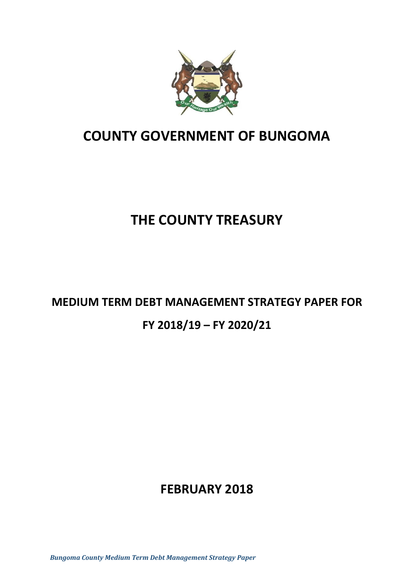

# **COUNTY GOVERNMENT OF BUNGOMA**

# **THE COUNTY TREASURY**

# **MEDIUM TERM DEBT MANAGEMENT STRATEGY PAPER FOR FY 2018/19 – FY 2020/21**

# **FEBRUARY 2018**

*Bungoma County Medium Term Debt Management Strategy Paper*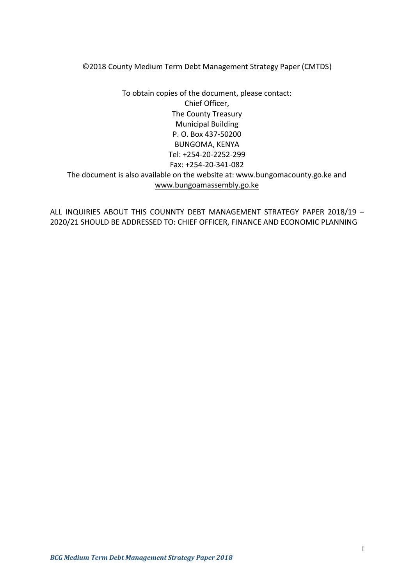©2018 County Medium Term Debt Management Strategy Paper (CMTDS)

To obtain copies of the document, please contact: Chief Officer, The County Treasury Municipal Building P. O. Box 437-50200 BUNGOMA, KENYA Tel: +254-20-2252-299 Fax: +254-20-341-082 The document is also available on the website at: www.bungomacounty.go.ke and [www.bungoamassembly.go.ke](http://www.bungoamassembly.go.ke/)

ALL INQUIRIES ABOUT THIS COUNNTY DEBT MANAGEMENT STRATEGY PAPER 2018/19 – 2020/21 SHOULD BE ADDRESSED TO: CHIEF OFFICER, FINANCE AND ECONOMIC PLANNING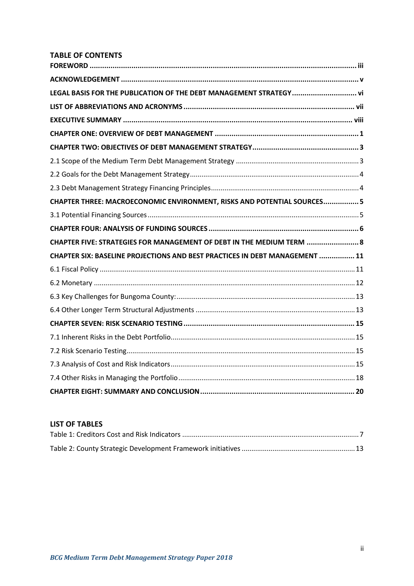# **TABLE OF CONTENTS**

| LEGAL BASIS FOR THE PUBLICATION OF THE DEBT MANAGEMENT STRATEGY vi          |  |
|-----------------------------------------------------------------------------|--|
|                                                                             |  |
|                                                                             |  |
|                                                                             |  |
|                                                                             |  |
|                                                                             |  |
|                                                                             |  |
|                                                                             |  |
| CHAPTER THREE: MACROECONOMIC ENVIRONMENT, RISKS AND POTENTIAL SOURCES5      |  |
|                                                                             |  |
|                                                                             |  |
| CHAPTER FIVE: STRATEGIES FOR MANAGEMENT OF DEBT IN THE MEDIUM TERM  8       |  |
| CHAPTER SIX: BASELINE PROJECTIONS AND BEST PRACTICES IN DEBT MANAGEMENT  11 |  |
|                                                                             |  |
|                                                                             |  |
|                                                                             |  |
|                                                                             |  |
|                                                                             |  |
|                                                                             |  |
|                                                                             |  |
|                                                                             |  |
|                                                                             |  |
|                                                                             |  |

# **LIST OF TABLES**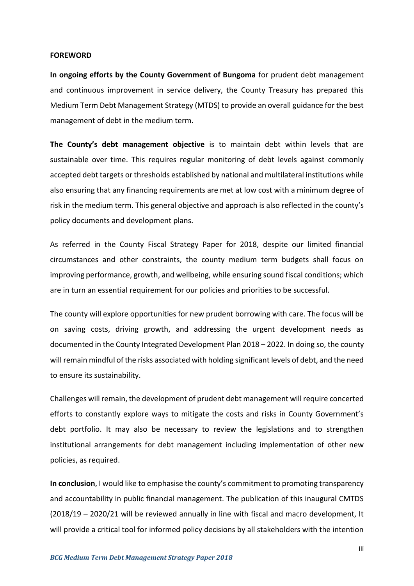#### <span id="page-3-0"></span>**FOREWORD**

**In ongoing efforts by the County Government of Bungoma** for prudent debt management and continuous improvement in service delivery, the County Treasury has prepared this Medium Term Debt Management Strategy (MTDS) to provide an overall guidance for the best management of debt in the medium term.

**The County's debt management objective** is to maintain debt within levels that are sustainable over time. This requires regular monitoring of debt levels against commonly accepted debt targets or thresholds established by national and multilateral institutions while also ensuring that any financing requirements are met at low cost with a minimum degree of risk in the medium term. This general objective and approach is also reflected in the county's policy documents and development plans.

As referred in the County Fiscal Strategy Paper for 2018, despite our limited financial circumstances and other constraints, the county medium term budgets shall focus on improving performance, growth, and wellbeing, while ensuring sound fiscal conditions; which are in turn an essential requirement for our policies and priorities to be successful.

The county will explore opportunities for new prudent borrowing with care. The focus will be on saving costs, driving growth, and addressing the urgent development needs as documented in the County Integrated Development Plan 2018 – 2022. In doing so, the county will remain mindful of the risks associated with holding significant levels of debt, and the need to ensure its sustainability.

Challenges will remain, the development of prudent debt management will require concerted efforts to constantly explore ways to mitigate the costs and risks in County Government's debt portfolio. It may also be necessary to review the legislations and to strengthen institutional arrangements for debt management including implementation of other new policies, as required.

**In conclusion**, I would like to emphasise the county's commitment to promoting transparency and accountability in public financial management. The publication of this inaugural CMTDS (2018/19 – 2020/21 will be reviewed annually in line with fiscal and macro development, It will provide a critical tool for informed policy decisions by all stakeholders with the intention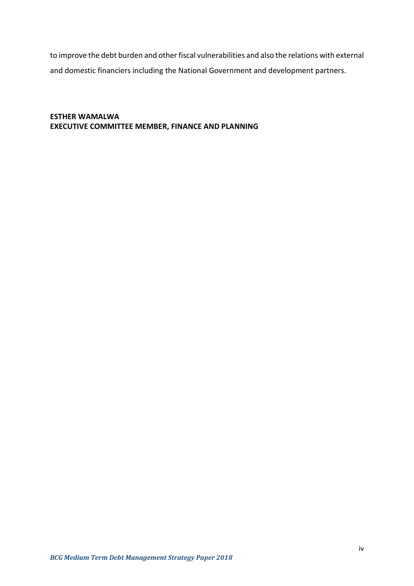to improve the debt burden and other fiscal vulnerabilities and also the relations with external and domestic financiers including the National Government and development partners.

# **ESTHER WAMALWA EXECUTIVE COMMITTEE MEMBER, FINANCE AND PLANNING**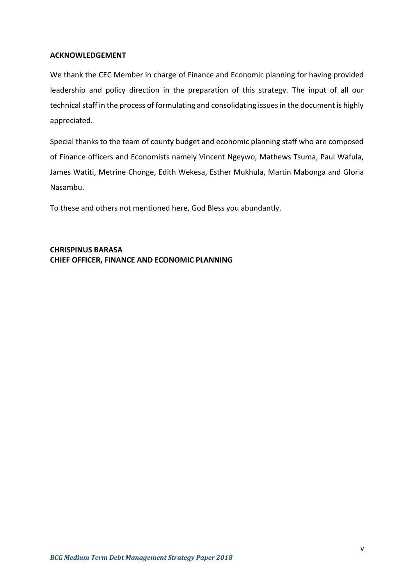# <span id="page-5-0"></span>**ACKNOWLEDGEMENT**

We thank the CEC Member in charge of Finance and Economic planning for having provided leadership and policy direction in the preparation of this strategy. The input of all our technical staff in the process of formulating and consolidating issues in the document is highly appreciated.

Special thanks to the team of county budget and economic planning staff who are composed of Finance officers and Economists namely Vincent Ngeywo, Mathews Tsuma, Paul Wafula, James Watiti, Metrine Chonge, Edith Wekesa, Esther Mukhula, Martin Mabonga and Gloria Nasambu.

To these and others not mentioned here, God Bless you abundantly.

**CHRISPINUS BARASA CHIEF OFFICER, FINANCE AND ECONOMIC PLANNING**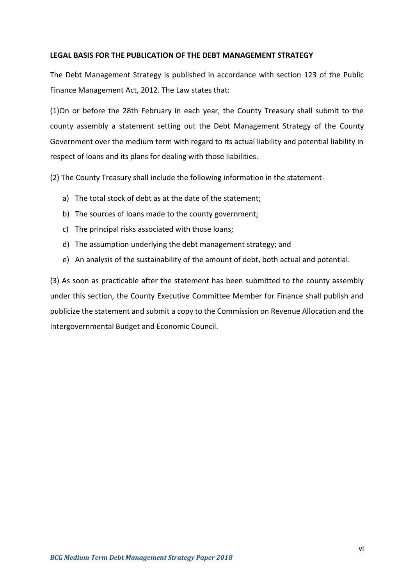# <span id="page-6-0"></span>**LEGAL BASIS FOR THE PUBLICATION OF THE DEBT MANAGEMENT STRATEGY**

The Debt Management Strategy is published in accordance with section 123 of the Public Finance Management Act, 2012. The Law states that:

(1)On or before the 28th February in each year, the County Treasury shall submit to the county assembly a statement setting out the Debt Management Strategy of the County Government over the medium term with regard to its actual liability and potential liability in respect of loans and its plans for dealing with those liabilities.

(2) The County Treasury shall include the following information in the statement-

- a) The total stock of debt as at the date of the statement;
- b) The sources of loans made to the county government;
- c) The principal risks associated with those loans;
- d) The assumption underlying the debt management strategy; and
- e) An analysis of the sustainability of the amount of debt, both actual and potential.

(3) As soon as practicable after the statement has been submitted to the county assembly under this section, the County Executive Committee Member for Finance shall publish and publicize the statement and submit a copy to the Commission on Revenue Allocation and the Intergovernmental Budget and Economic Council.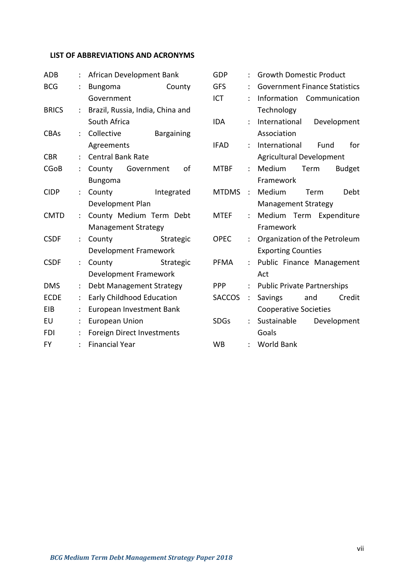# <span id="page-7-0"></span>**LIST OF ABBREVIATIONS AND ACRONYMS**

| ADB          |                           | African Development Bank          |                         |  |  |  |
|--------------|---------------------------|-----------------------------------|-------------------------|--|--|--|
| <b>BCG</b>   |                           | County<br><b>Bungoma</b>          |                         |  |  |  |
|              |                           | Government                        |                         |  |  |  |
| <b>BRICS</b> | t.                        | Brazil, Russia, India, China and  |                         |  |  |  |
|              |                           | South Africa                      |                         |  |  |  |
| <b>CBAs</b>  |                           | : Collective                      | <b>Bargaining</b>       |  |  |  |
|              |                           | Agreements                        |                         |  |  |  |
| <b>CBR</b>   | $\ddot{\phantom{a}}$      | <b>Central Bank Rate</b>          |                         |  |  |  |
| <b>CGoB</b>  | $\mathcal{L}$             | County Government                 | οf                      |  |  |  |
|              |                           | <b>Bungoma</b>                    |                         |  |  |  |
| <b>CIDP</b>  | $\ddot{\cdot}$            | County                            | Integrated              |  |  |  |
|              |                           | Development Plan                  |                         |  |  |  |
| <b>CMTD</b>  | $\ddot{\phantom{0}}$      |                                   | County Medium Term Debt |  |  |  |
|              |                           | <b>Management Strategy</b>        |                         |  |  |  |
| <b>CSDF</b>  |                           | County                            | Strategic               |  |  |  |
|              |                           | Development Framework             |                         |  |  |  |
| <b>CSDF</b>  | $\ddot{\cdot}$            | County                            | Strategic               |  |  |  |
|              |                           | Development Framework             |                         |  |  |  |
| <b>DMS</b>   | $\mathbb{R}^{\mathbb{Z}}$ | Debt Management Strategy          |                         |  |  |  |
| <b>ECDE</b>  | $\mathcal{L}$             | Early Childhood Education         |                         |  |  |  |
| EIB          | $\ddot{\cdot}$            | European Investment Bank          |                         |  |  |  |
| EU           | ÷.                        | <b>European Union</b>             |                         |  |  |  |
| FDI          | ÷.                        | <b>Foreign Direct Investments</b> |                         |  |  |  |
| FY           | $\ddot{\cdot}$            | <b>Financial Year</b>             |                         |  |  |  |

| GDP           | $\ddot{\phantom{0}}$ | <b>Growth Domestic Product</b>       |
|---------------|----------------------|--------------------------------------|
| <b>GFS</b>    |                      | <b>Government Finance Statistics</b> |
| ICT           |                      | Information Communication            |
|               |                      | Technology                           |
| IDA           |                      | International<br>Development         |
|               |                      | Association                          |
| <b>IFAD</b>   | ÷.                   | International<br>for<br>Fund         |
|               |                      | <b>Agricultural Development</b>      |
| <b>MTBF</b>   | $\mathcal{L}$        | Medium<br><b>Budget</b><br>Term      |
|               |                      | Framework                            |
| <b>MTDMS</b>  | $\ddot{\cdot}$       | Medium<br>Debt<br>Term               |
|               |                      | <b>Management Strategy</b>           |
| <b>MTEF</b>   | $\ddot{\cdot}$       | Medium Term Expenditure              |
|               |                      | Framework                            |
| <b>OPEC</b>   | $\ddot{\phantom{a}}$ | Organization of the Petroleum        |
|               |                      | <b>Exporting Counties</b>            |
| PFMA          | $\ddot{\cdot}$       | Public Finance Management            |
|               |                      | Act                                  |
| <b>PPP</b>    | $\ddot{\cdot}$       | <b>Public Private Partnerships</b>   |
| <b>SACCOS</b> | $\ddot{\cdot}$       | Credit<br>Savings<br>and             |
|               |                      | <b>Cooperative Societies</b>         |
| SDGs          |                      | Sustainable<br>Development           |
|               |                      | Goals                                |
| WB            |                      | <b>World Bank</b>                    |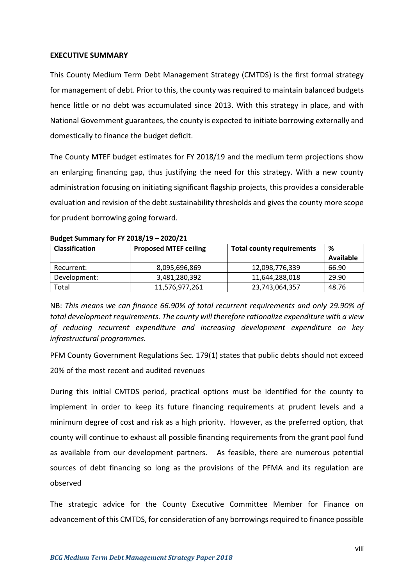#### <span id="page-8-0"></span>**EXECUTIVE SUMMARY**

This County Medium Term Debt Management Strategy (CMTDS) is the first formal strategy for management of debt. Prior to this, the county was required to maintain balanced budgets hence little or no debt was accumulated since 2013. With this strategy in place, and with National Government guarantees, the county is expected to initiate borrowing externally and domestically to finance the budget deficit.

The County MTEF budget estimates for FY 2018/19 and the medium term projections show an enlarging financing gap, thus justifying the need for this strategy. With a new county administration focusing on initiating significant flagship projects, this provides a considerable evaluation and revision of the debt sustainability thresholds and gives the county more scope for prudent borrowing going forward.

| <b>Classification</b> | <b>Proposed MTEF ceiling</b> | <b>Total county requirements</b> | %                |  |  |  |
|-----------------------|------------------------------|----------------------------------|------------------|--|--|--|
|                       |                              |                                  | <b>Available</b> |  |  |  |
| Recurrent:            | 8,095,696,869                | 12,098,776,339                   | 66.90            |  |  |  |
| Development:          | 3,481,280,392                | 11,644,288,018                   | 29.90            |  |  |  |
| Total                 | 11,576,977,261               | 23,743,064,357                   | 48.76            |  |  |  |

| Budget Summary for FY 2018/19 - 2020/21 |  |  |
|-----------------------------------------|--|--|
|                                         |  |  |

NB: *This means we can finance 66.90% of total recurrent requirements and only 29.90% of total development requirements. The county will therefore rationalize expenditure with a view of reducing recurrent expenditure and increasing development expenditure on key infrastructural programmes.* 

PFM County Government Regulations Sec. 179(1) states that public debts should not exceed 20% of the most recent and audited revenues

During this initial CMTDS period, practical options must be identified for the county to implement in order to keep its future financing requirements at prudent levels and a minimum degree of cost and risk as a high priority. However, as the preferred option, that county will continue to exhaust all possible financing requirements from the grant pool fund as available from our development partners. As feasible, there are numerous potential sources of debt financing so long as the provisions of the PFMA and its regulation are observed

The strategic advice for the County Executive Committee Member for Finance on advancement of this CMTDS, for consideration of any borrowings required to finance possible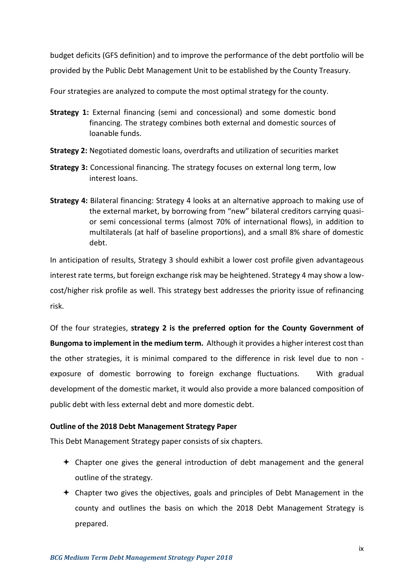budget deficits (GFS definition) and to improve the performance of the debt portfolio will be provided by the Public Debt Management Unit to be established by the County Treasury.

Four strategies are analyzed to compute the most optimal strategy for the county.

- **Strategy 1:** External financing (semi and concessional) and some domestic bond financing. The strategy combines both external and domestic sources of loanable funds.
- **Strategy 2:** Negotiated domestic loans, overdrafts and utilization of securities market
- **Strategy 3:** Concessional financing. The strategy focuses on external long term, low interest loans.
- **Strategy 4:** Bilateral financing: Strategy 4 looks at an alternative approach to making use of the external market, by borrowing from "new" bilateral creditors carrying quasior semi concessional terms (almost 70% of international flows), in addition to multilaterals (at half of baseline proportions), and a small 8% share of domestic debt.

In anticipation of results, Strategy 3 should exhibit a lower cost profile given advantageous interest rate terms, but foreign exchange risk may be heightened. Strategy 4 may show a lowcost/higher risk profile as well. This strategy best addresses the priority issue of refinancing risk.

Of the four strategies, **strategy 2 is the preferred option for the County Government of Bungoma to implement in the medium term.** Although it provides a higher interest cost than the other strategies, it is minimal compared to the difference in risk level due to non exposure of domestic borrowing to foreign exchange fluctuations. With gradual development of the domestic market, it would also provide a more balanced composition of public debt with less external debt and more domestic debt.

# **Outline of the 2018 Debt Management Strategy Paper**

This Debt Management Strategy paper consists of six chapters.

- $\div$  Chapter one gives the general introduction of debt management and the general outline of the strategy.
- $\div$  Chapter two gives the objectives, goals and principles of Debt Management in the county and outlines the basis on which the 2018 Debt Management Strategy is prepared.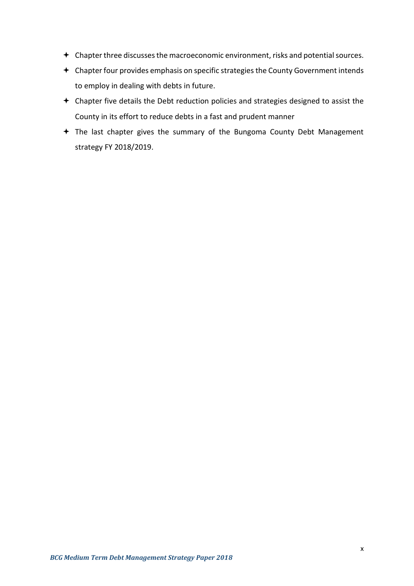- Chapter three discusses the macroeconomic environment, risks and potential sources.
- Chapter four provides emphasis on specific strategies the County Government intends to employ in dealing with debts in future.
- Chapter five details the Debt reduction policies and strategies designed to assist the County in its effort to reduce debts in a fast and prudent manner
- The last chapter gives the summary of the Bungoma County Debt Management strategy FY 2018/2019.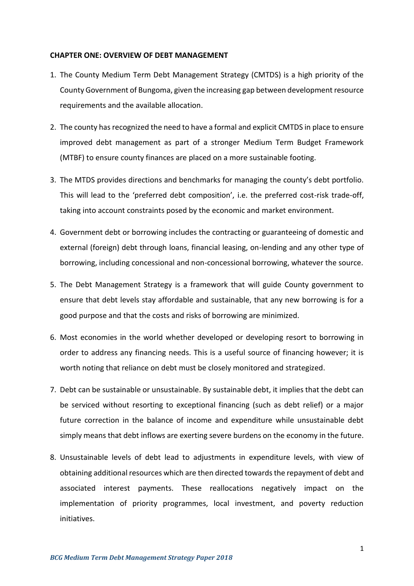#### <span id="page-11-0"></span>**CHAPTER ONE: OVERVIEW OF DEBT MANAGEMENT**

- 1. The County Medium Term Debt Management Strategy (CMTDS) is a high priority of the County Government of Bungoma, given the increasing gap between development resource requirements and the available allocation.
- 2. The county has recognized the need to have a formal and explicit CMTDS in place to ensure improved debt management as part of a stronger Medium Term Budget Framework (MTBF) to ensure county finances are placed on a more sustainable footing.
- 3. The MTDS provides directions and benchmarks for managing the county's debt portfolio. This will lead to the 'preferred debt composition', i.e. the preferred cost-risk trade-off, taking into account constraints posed by the economic and market environment.
- 4. Government debt or borrowing includes the contracting or guaranteeing of domestic and external (foreign) debt through loans, financial leasing, on-lending and any other type of borrowing, including concessional and non-concessional borrowing, whatever the source.
- 5. The Debt Management Strategy is a framework that will guide County government to ensure that debt levels stay affordable and sustainable, that any new borrowing is for a good purpose and that the costs and risks of borrowing are minimized.
- 6. Most economies in the world whether developed or developing resort to borrowing in order to address any financing needs. This is a useful source of financing however; it is worth noting that reliance on debt must be closely monitored and strategized.
- 7. Debt can be sustainable or unsustainable. By sustainable debt, it implies that the debt can be serviced without resorting to exceptional financing (such as debt relief) or a major future correction in the balance of income and expenditure while unsustainable debt simply means that debt inflows are exerting severe burdens on the economy in the future.
- 8. Unsustainable levels of debt lead to adjustments in expenditure levels, with view of obtaining additional resources which are then directed towards the repayment of debt and associated interest payments. These reallocations negatively impact on the implementation of priority programmes, local investment, and poverty reduction initiatives.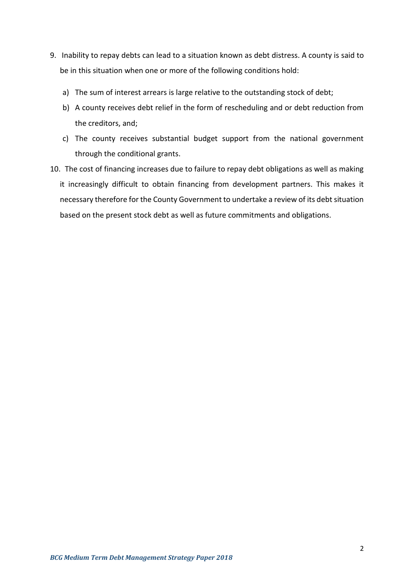- 9. Inability to repay debts can lead to a situation known as debt distress. A county is said to be in this situation when one or more of the following conditions hold:
	- a) The sum of interest arrears is large relative to the outstanding stock of debt;
	- b) A county receives debt relief in the form of rescheduling and or debt reduction from the creditors, and;
	- c) The county receives substantial budget support from the national government through the conditional grants.
- 10. The cost of financing increases due to failure to repay debt obligations as well as making it increasingly difficult to obtain financing from development partners. This makes it necessary therefore for the County Government to undertake a review of its debt situation based on the present stock debt as well as future commitments and obligations.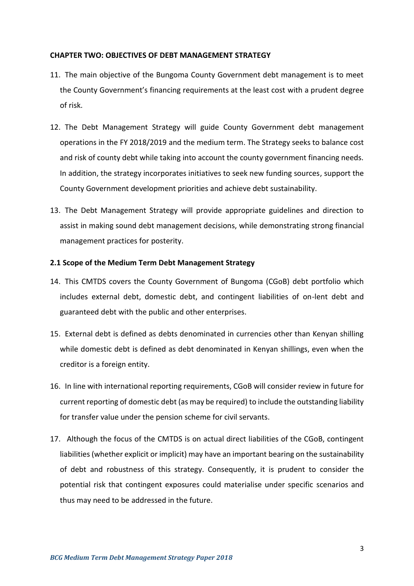#### <span id="page-13-0"></span>**CHAPTER TWO: OBJECTIVES OF DEBT MANAGEMENT STRATEGY**

- 11. The main objective of the Bungoma County Government debt management is to meet the County Government's financing requirements at the least cost with a prudent degree of risk.
- 12. The Debt Management Strategy will guide County Government debt management operations in the FY 2018/2019 and the medium term. The Strategy seeks to balance cost and risk of county debt while taking into account the county government financing needs. In addition, the strategy incorporates initiatives to seek new funding sources, support the County Government development priorities and achieve debt sustainability.
- 13. The Debt Management Strategy will provide appropriate guidelines and direction to assist in making sound debt management decisions, while demonstrating strong financial management practices for posterity.

#### <span id="page-13-1"></span>**2.1 Scope of the Medium Term Debt Management Strategy**

- 14. This CMTDS covers the County Government of Bungoma (CGoB) debt portfolio which includes external debt, domestic debt, and contingent liabilities of on-lent debt and guaranteed debt with the public and other enterprises.
- 15. External debt is defined as debts denominated in currencies other than Kenyan shilling while domestic debt is defined as debt denominated in Kenyan shillings, even when the creditor is a foreign entity.
- 16. In line with international reporting requirements, CGoB will consider review in future for current reporting of domestic debt (as may be required) to include the outstanding liability for transfer value under the pension scheme for civil servants.
- 17. Although the focus of the CMTDS is on actual direct liabilities of the CGoB, contingent liabilities (whether explicit or implicit) may have an important bearing on the sustainability of debt and robustness of this strategy. Consequently, it is prudent to consider the potential risk that contingent exposures could materialise under specific scenarios and thus may need to be addressed in the future.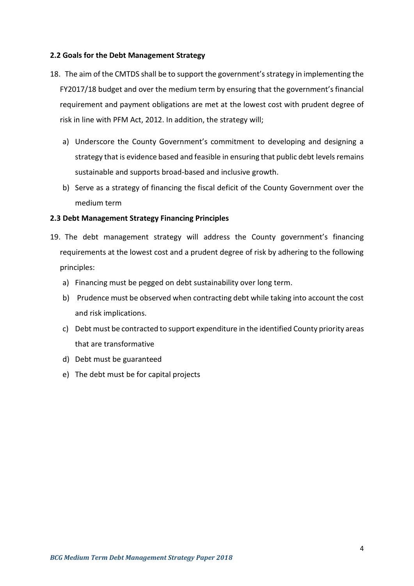# <span id="page-14-0"></span>**2.2 Goals for the Debt Management Strategy**

- 18. The aim of the CMTDS shall be to support the government's strategy in implementing the FY2017/18 budget and over the medium term by ensuring that the government's financial requirement and payment obligations are met at the lowest cost with prudent degree of risk in line with PFM Act, 2012. In addition, the strategy will;
	- a) Underscore the County Government's commitment to developing and designing a strategy that is evidence based and feasible in ensuring that public debt levels remains sustainable and supports broad-based and inclusive growth.
	- b) Serve as a strategy of financing the fiscal deficit of the County Government over the medium term

#### <span id="page-14-1"></span>**2.3 Debt Management Strategy Financing Principles**

- 19. The debt management strategy will address the County government's financing requirements at the lowest cost and a prudent degree of risk by adhering to the following principles:
	- a) Financing must be pegged on debt sustainability over long term.
	- b) Prudence must be observed when contracting debt while taking into account the cost and risk implications.
	- c) Debt must be contracted to support expenditure in the identified County priority areas that are transformative
	- d) Debt must be guaranteed
	- e) The debt must be for capital projects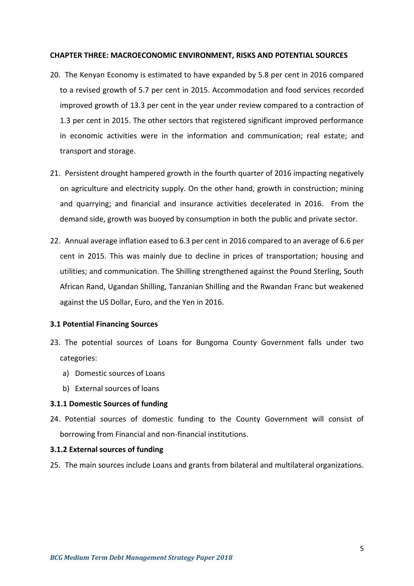#### <span id="page-15-0"></span>**CHAPTER THREE: MACROECONOMIC ENVIRONMENT, RISKS AND POTENTIAL SOURCES**

- 20. The Kenyan Economy is estimated to have expanded by 5.8 per cent in 2016 compared to a revised growth of 5.7 per cent in 2015. Accommodation and food services recorded improved growth of 13.3 per cent in the year under review compared to a contraction of 1.3 per cent in 2015. The other sectors that registered significant improved performance in economic activities were in the information and communication; real estate; and transport and storage.
- 21. Persistent drought hampered growth in the fourth quarter of 2016 impacting negatively on agriculture and electricity supply. On the other hand, growth in construction; mining and quarrying; and financial and insurance activities decelerated in 2016. From the demand side, growth was buoyed by consumption in both the public and private sector.
- 22. Annual average inflation eased to 6.3 per cent in 2016 compared to an average of 6.6 per cent in 2015. This was mainly due to decline in prices of transportation; housing and utilities; and communication. The Shilling strengthened against the Pound Sterling, South African Rand, Ugandan Shilling, Tanzanian Shilling and the Rwandan Franc but weakened against the US Dollar, Euro, and the Yen in 2016.

# <span id="page-15-1"></span>**3.1 Potential Financing Sources**

- 23. The potential sources of Loans for Bungoma County Government falls under two categories:
	- a) Domestic sources of Loans
	- b) External sources of loans

# **3.1.1 Domestic Sources of funding**

24. Potential sources of domestic funding to the County Government will consist of borrowing from Financial and non-financial institutions.

#### **3.1.2 External sources of funding**

25. The main sources include Loans and grants from bilateral and multilateral organizations.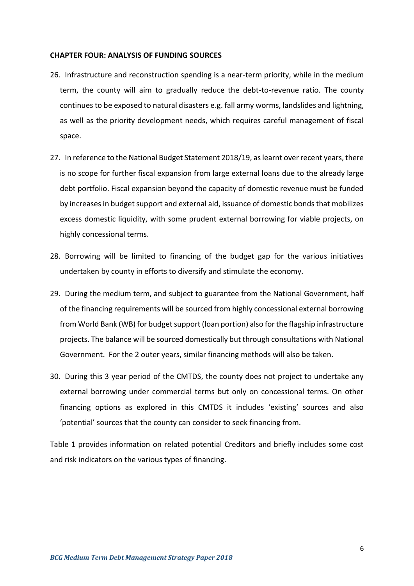#### <span id="page-16-0"></span>**CHAPTER FOUR: ANALYSIS OF FUNDING SOURCES**

- 26. Infrastructure and reconstruction spending is a near-term priority, while in the medium term, the county will aim to gradually reduce the debt-to-revenue ratio. The county continues to be exposed to natural disasters e.g. fall army worms, landslides and lightning, as well as the priority development needs, which requires careful management of fiscal space.
- 27. In reference to the National Budget Statement 2018/19, as learnt over recent years, there is no scope for further fiscal expansion from large external loans due to the already large debt portfolio. Fiscal expansion beyond the capacity of domestic revenue must be funded by increases in budget support and external aid, issuance of domestic bonds that mobilizes excess domestic liquidity, with some prudent external borrowing for viable projects, on highly concessional terms.
- 28. Borrowing will be limited to financing of the budget gap for the various initiatives undertaken by county in efforts to diversify and stimulate the economy.
- 29. During the medium term, and subject to guarantee from the National Government, half of the financing requirements will be sourced from highly concessional external borrowing from World Bank (WB) for budget support (loan portion) also for the flagship infrastructure projects. The balance will be sourced domestically but through consultations with National Government. For the 2 outer years, similar financing methods will also be taken.
- 30. During this 3 year period of the CMTDS, the county does not project to undertake any external borrowing under commercial terms but only on concessional terms. On other financing options as explored in this CMTDS it includes 'existing' sources and also 'potential' sources that the county can consider to seek financing from.

Table 1 provides information on related potential Creditors and briefly includes some cost and risk indicators on the various types of financing.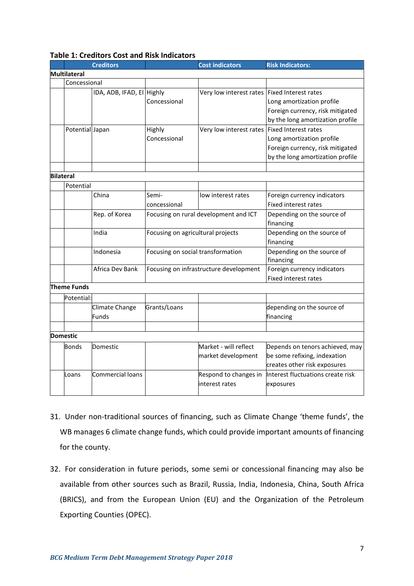|                  |                     | <b>Creditors</b>          |                                   | <b>Cost indicators</b>                 | <b>Risk Indicators:</b>           |  |
|------------------|---------------------|---------------------------|-----------------------------------|----------------------------------------|-----------------------------------|--|
|                  | <b>Multilateral</b> |                           |                                   |                                        |                                   |  |
|                  | Concessional        |                           |                                   |                                        |                                   |  |
|                  |                     | IDA, ADB, IFAD, EI Highly |                                   | Very low interest rates                | <b>Fixed Interest rates</b>       |  |
|                  |                     |                           | Concessional                      |                                        | Long amortization profile         |  |
|                  |                     |                           |                                   |                                        | Foreign currency, risk mitigated  |  |
|                  |                     |                           |                                   |                                        | by the long amortization profile  |  |
|                  | Potential Japan     |                           | Highly                            | Very low interest rates                | <b>Fixed Interest rates</b>       |  |
|                  |                     |                           | Concessional                      |                                        | Long amortization profile         |  |
|                  |                     |                           |                                   |                                        | Foreign currency, risk mitigated  |  |
|                  |                     |                           |                                   |                                        | by the long amortization profile  |  |
|                  |                     |                           |                                   |                                        |                                   |  |
| <b>Bilateral</b> |                     |                           |                                   |                                        |                                   |  |
|                  | Potential           |                           |                                   |                                        |                                   |  |
|                  |                     | China                     | Semi-                             | low interest rates                     | Foreign currency indicators       |  |
|                  |                     |                           | concessional                      |                                        | <b>Fixed interest rates</b>       |  |
|                  |                     | Rep. of Korea             |                                   | Focusing on rural development and ICT  | Depending on the source of        |  |
|                  |                     |                           |                                   |                                        | financing                         |  |
|                  |                     | India                     | Focusing on agricultural projects |                                        | Depending on the source of        |  |
|                  |                     |                           |                                   |                                        | financing                         |  |
|                  |                     | Indonesia                 | Focusing on social transformation |                                        | Depending on the source of        |  |
|                  |                     |                           |                                   |                                        | financing                         |  |
|                  |                     | Africa Dev Bank           |                                   | Focusing on infrastructure development | Foreign currency indicators       |  |
|                  |                     |                           |                                   |                                        | <b>Fixed interest rates</b>       |  |
|                  | <b>Theme Funds</b>  |                           |                                   |                                        |                                   |  |
|                  | Potential:          |                           |                                   |                                        |                                   |  |
|                  |                     | Climate Change            | Grants/Loans                      |                                        | depending on the source of        |  |
|                  |                     | <b>Funds</b>              |                                   |                                        | financing                         |  |
|                  |                     |                           |                                   |                                        |                                   |  |
|                  | <b>Domestic</b>     |                           |                                   |                                        |                                   |  |
|                  | Bonds               | Domestic                  |                                   | Market - will reflect                  | Depends on tenors achieved, may   |  |
|                  |                     |                           |                                   | market development                     | be some refixing, indexation      |  |
|                  |                     |                           |                                   |                                        | creates other risk exposures      |  |
|                  | Loans               | Commercial loans          |                                   | Respond to changes in                  | Interest fluctuations create risk |  |
|                  |                     |                           |                                   | interest rates                         | exposures                         |  |
|                  |                     |                           |                                   |                                        |                                   |  |

#### <span id="page-17-0"></span>**Table 1: Creditors Cost and Risk Indicators**

- 31. Under non-traditional sources of financing, such as Climate Change 'theme funds', the WB manages 6 climate change funds, which could provide important amounts of financing for the county.
- 32. For consideration in future periods, some semi or concessional financing may also be available from other sources such as Brazil, Russia, India, Indonesia, China, South Africa (BRICS), and from the European Union (EU) and the Organization of the Petroleum Exporting Counties (OPEC).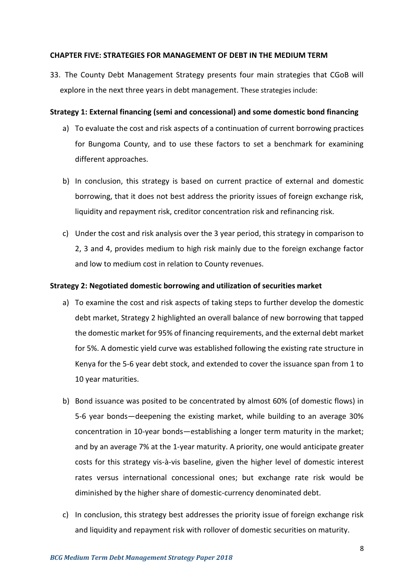#### <span id="page-18-0"></span>**CHAPTER FIVE: STRATEGIES FOR MANAGEMENT OF DEBT IN THE MEDIUM TERM**

33. The County Debt Management Strategy presents four main strategies that CGoB will explore in the next three years in debt management. These strategies include:

#### **Strategy 1: External financing (semi and concessional) and some domestic bond financing**

- a) To evaluate the cost and risk aspects of a continuation of current borrowing practices for Bungoma County, and to use these factors to set a benchmark for examining different approaches.
- b) In conclusion, this strategy is based on current practice of external and domestic borrowing, that it does not best address the priority issues of foreign exchange risk, liquidity and repayment risk, creditor concentration risk and refinancing risk.
- c) Under the cost and risk analysis over the 3 year period, this strategy in comparison to 2, 3 and 4, provides medium to high risk mainly due to the foreign exchange factor and low to medium cost in relation to County revenues.

#### **Strategy 2: Negotiated domestic borrowing and utilization of securities market**

- a) To examine the cost and risk aspects of taking steps to further develop the domestic debt market, Strategy 2 highlighted an overall balance of new borrowing that tapped the domestic market for 95% of financing requirements, and the external debt market for 5%. A domestic yield curve was established following the existing rate structure in Kenya for the 5-6 year debt stock, and extended to cover the issuance span from 1 to 10 year maturities.
- b) Bond issuance was posited to be concentrated by almost 60% (of domestic flows) in 5-6 year bonds—deepening the existing market, while building to an average 30% concentration in 10-year bonds—establishing a longer term maturity in the market; and by an average 7% at the 1-year maturity. A priority, one would anticipate greater costs for this strategy vis-à-vis baseline, given the higher level of domestic interest rates versus international concessional ones; but exchange rate risk would be diminished by the higher share of domestic-currency denominated debt.
- c) In conclusion, this strategy best addresses the priority issue of foreign exchange risk and liquidity and repayment risk with rollover of domestic securities on maturity.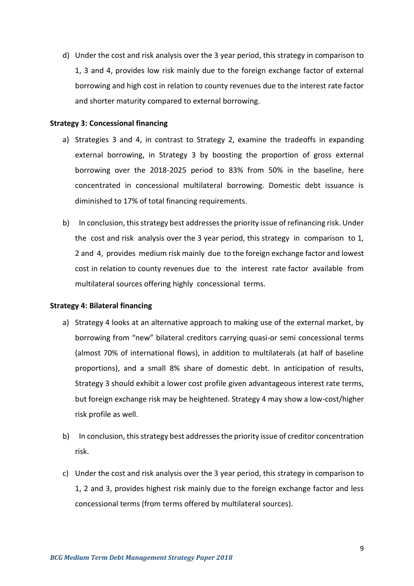d) Under the cost and risk analysis over the 3 year period, this strategy in comparison to 1, 3 and 4, provides low risk mainly due to the foreign exchange factor of external borrowing and high cost in relation to county revenues due to the interest rate factor and shorter maturity compared to external borrowing.

#### **Strategy 3: Concessional financing**

- a) Strategies 3 and 4, in contrast to Strategy 2, examine the tradeoffs in expanding external borrowing, in Strategy 3 by boosting the proportion of gross external borrowing over the 2018-2025 period to 83% from 50% in the baseline, here concentrated in concessional multilateral borrowing. Domestic debt issuance is diminished to 17% of total financing requirements.
- b) In conclusion, this strategy best addresses the priority issue of refinancing risk. Under the cost and risk analysis over the 3 year period, this strategy in comparison to 1, 2 and 4, provides medium risk mainly due to the foreign exchange factor and lowest cost in relation to county revenues due to the interest rate factor available from multilateral sources offering highly concessional terms.

#### **Strategy 4: Bilateral financing**

- a) Strategy 4 looks at an alternative approach to making use of the external market, by borrowing from "new" bilateral creditors carrying quasi-or semi concessional terms (almost 70% of international flows), in addition to multilaterals (at half of baseline proportions), and a small 8% share of domestic debt. In anticipation of results, Strategy 3 should exhibit a lower cost profile given advantageous interest rate terms, but foreign exchange risk may be heightened. Strategy 4 may show a low-cost/higher risk profile as well.
- b) In conclusion, this strategy best addresses the priority issue of creditor concentration risk.
- c) Under the cost and risk analysis over the 3 year period, this strategy in comparison to 1, 2 and 3, provides highest risk mainly due to the foreign exchange factor and less concessional terms (from terms offered by multilateral sources).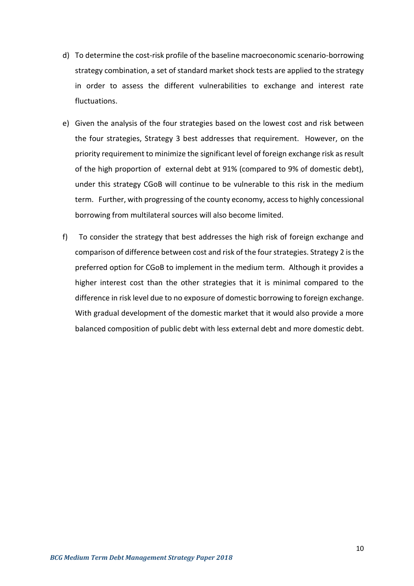- d) To determine the cost-risk profile of the baseline macroeconomic scenario-borrowing strategy combination, a set of standard market shock tests are applied to the strategy in order to assess the different vulnerabilities to exchange and interest rate fluctuations.
- e) Given the analysis of the four strategies based on the lowest cost and risk between the four strategies, Strategy 3 best addresses that requirement. However, on the priority requirement to minimize the significant level of foreign exchange risk as result of the high proportion of external debt at 91% (compared to 9% of domestic debt), under this strategy CGoB will continue to be vulnerable to this risk in the medium term. Further, with progressing of the county economy, access to highly concessional borrowing from multilateral sources will also become limited.
- f) To consider the strategy that best addresses the high risk of foreign exchange and comparison of difference between cost and risk of the four strategies. Strategy 2 is the preferred option for CGoB to implement in the medium term. Although it provides a higher interest cost than the other strategies that it is minimal compared to the difference in risk level due to no exposure of domestic borrowing to foreign exchange. With gradual development of the domestic market that it would also provide a more balanced composition of public debt with less external debt and more domestic debt.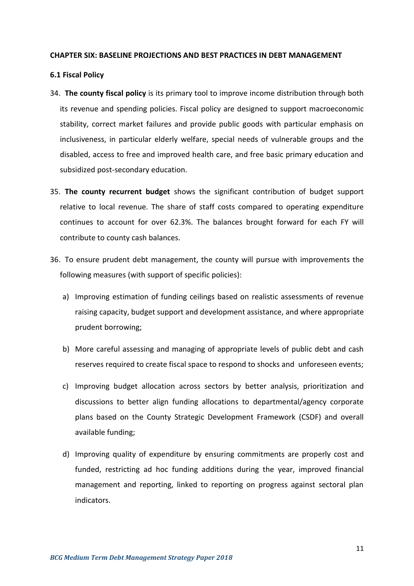#### <span id="page-21-0"></span>**CHAPTER SIX: BASELINE PROJECTIONS AND BEST PRACTICES IN DEBT MANAGEMENT**

#### <span id="page-21-1"></span>**6.1 Fiscal Policy**

- 34. **The county fiscal policy** is its primary tool to improve income distribution through both its revenue and spending policies. Fiscal policy are designed to support macroeconomic stability, correct market failures and provide public goods with particular emphasis on inclusiveness, in particular elderly welfare, special needs of vulnerable groups and the disabled, access to free and improved health care, and free basic primary education and subsidized post-secondary education.
- 35. **The county recurrent budget** shows the significant contribution of budget support relative to local revenue. The share of staff costs compared to operating expenditure continues to account for over 62.3%. The balances brought forward for each FY will contribute to county cash balances.
- 36. To ensure prudent debt management, the county will pursue with improvements the following measures (with support of specific policies):
	- a) Improving estimation of funding ceilings based on realistic assessments of revenue raising capacity, budget support and development assistance, and where appropriate prudent borrowing;
	- b) More careful assessing and managing of appropriate levels of public debt and cash reserves required to create fiscal space to respond to shocks and unforeseen events;
	- c) Improving budget allocation across sectors by better analysis, prioritization and discussions to better align funding allocations to departmental/agency corporate plans based on the County Strategic Development Framework (CSDF) and overall available funding;
	- d) Improving quality of expenditure by ensuring commitments are properly cost and funded, restricting ad hoc funding additions during the year, improved financial management and reporting, linked to reporting on progress against sectoral plan indicators.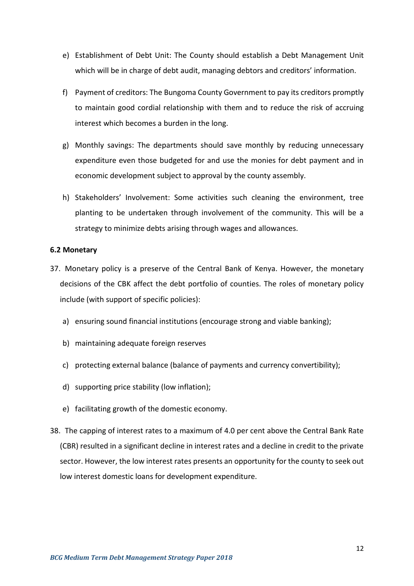- e) Establishment of Debt Unit: The County should establish a Debt Management Unit which will be in charge of debt audit, managing debtors and creditors' information.
- f) Payment of creditors: The Bungoma County Government to pay its creditors promptly to maintain good cordial relationship with them and to reduce the risk of accruing interest which becomes a burden in the long.
- g) Monthly savings: The departments should save monthly by reducing unnecessary expenditure even those budgeted for and use the monies for debt payment and in economic development subject to approval by the county assembly.
- h) Stakeholders' Involvement: Some activities such cleaning the environment, tree planting to be undertaken through involvement of the community. This will be a strategy to minimize debts arising through wages and allowances.

#### <span id="page-22-0"></span>**6.2 Monetary**

- 37. Monetary policy is a preserve of the Central Bank of Kenya. However, the monetary decisions of the CBK affect the debt portfolio of counties. The roles of monetary policy include (with support of specific policies):
	- a) ensuring sound financial institutions (encourage strong and viable banking);
	- b) maintaining adequate foreign reserves
	- c) protecting external balance (balance of payments and currency convertibility);
	- d) supporting price stability (low inflation);
	- e) facilitating growth of the domestic economy.
- 38. The capping of interest rates to a maximum of 4.0 per cent above the Central Bank Rate (CBR) resulted in a significant decline in interest rates and a decline in credit to the private sector. However, the low interest rates presents an opportunity for the county to seek out low interest domestic loans for development expenditure.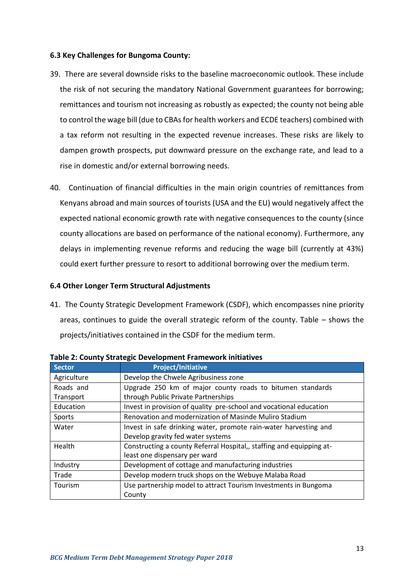# <span id="page-23-0"></span>**6.3 Key Challenges for Bungoma County:**

- 39. There are several downside risks to the baseline macroeconomic outlook. These include the risk of not securing the mandatory National Government guarantees for borrowing; remittances and tourism not increasing as robustly as expected; the county not being able to control the wage bill (due to CBAs for health workers and ECDE teachers) combined with a tax reform not resulting in the expected revenue increases. These risks are likely to dampen growth prospects, put downward pressure on the exchange rate, and lead to a rise in domestic and/or external borrowing needs.
- 40. Continuation of financial difficulties in the main origin countries of remittances from Kenyans abroad and main sources of tourists (USA and the EU) would negatively affect the expected national economic growth rate with negative consequences to the county (since county allocations are based on performance of the national economy). Furthermore, any delays in implementing revenue reforms and reducing the wage bill (currently at 43%) could exert further pressure to resort to additional borrowing over the medium term.

#### <span id="page-23-1"></span>**6.4 Other Longer Term Structural Adjustments**

41. The County Strategic Development Framework (CSDF), which encompasses nine priority areas, continues to guide the overall strategic reform of the county. Table – shows the projects/initiatives contained in the CSDF for the medium term.

| <b>Sector</b>                                                              | <b>Project/Initiative</b>                                            |  |
|----------------------------------------------------------------------------|----------------------------------------------------------------------|--|
| Agriculture                                                                | Develop the Chwele Agribusiness zone                                 |  |
| Roads and                                                                  | Upgrade 250 km of major county roads to bitumen standards            |  |
| Transport                                                                  | through Public Private Partnerships                                  |  |
| Education                                                                  | Invest in provision of quality pre-school and vocational education   |  |
| Sports                                                                     | Renovation and modernization of Masinde Muliro Stadium               |  |
| Water                                                                      | Invest in safe drinking water, promote rain-water harvesting and     |  |
|                                                                            | Develop gravity fed water systems                                    |  |
| Health                                                                     | Constructing a county Referral Hospital,, staffing and equipping at- |  |
|                                                                            | least one dispensary per ward                                        |  |
| Industry                                                                   | Development of cottage and manufacturing industries                  |  |
| Trade                                                                      | Develop modern truck shops on the Webuye Malaba Road                 |  |
| Use partnership model to attract Tourism Investments in Bungoma<br>Tourism |                                                                      |  |
|                                                                            | County                                                               |  |

<span id="page-23-2"></span>**Table 2: County Strategic Development Framework initiatives**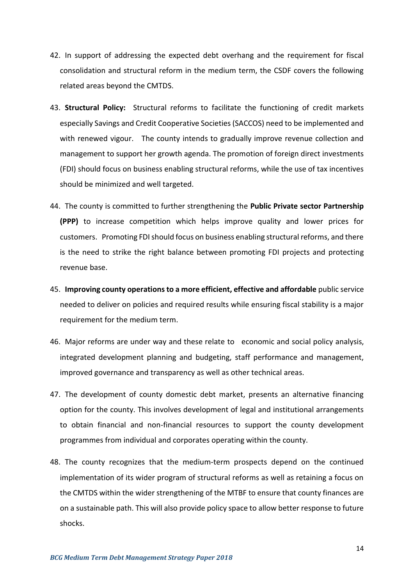- 42. In support of addressing the expected debt overhang and the requirement for fiscal consolidation and structural reform in the medium term, the CSDF covers the following related areas beyond the CMTDS.
- 43. **Structural Policy:** Structural reforms to facilitate the functioning of credit markets especially Savings and Credit Cooperative Societies (SACCOS) need to be implemented and with renewed vigour. The county intends to gradually improve revenue collection and management to support her growth agenda. The promotion of foreign direct investments (FDI) should focus on business enabling structural reforms, while the use of tax incentives should be minimized and well targeted.
- 44. The county is committed to further strengthening the **Public Private sector Partnership (PPP)** to increase competition which helps improve quality and lower prices for customers. Promoting FDI should focus on business enabling structural reforms, and there is the need to strike the right balance between promoting FDI projects and protecting revenue base.
- 45. **Improving county operations to a more efficient, effective and affordable** public service needed to deliver on policies and required results while ensuring fiscal stability is a major requirement for the medium term.
- 46. Major reforms are under way and these relate to economic and social policy analysis, integrated development planning and budgeting, staff performance and management, improved governance and transparency as well as other technical areas.
- 47. The development of county domestic debt market, presents an alternative financing option for the county. This involves development of legal and institutional arrangements to obtain financial and non-financial resources to support the county development programmes from individual and corporates operating within the county.
- 48. The county recognizes that the medium-term prospects depend on the continued implementation of its wider program of structural reforms as well as retaining a focus on the CMTDS within the wider strengthening of the MTBF to ensure that county finances are on a sustainable path. This will also provide policy space to allow better response to future shocks.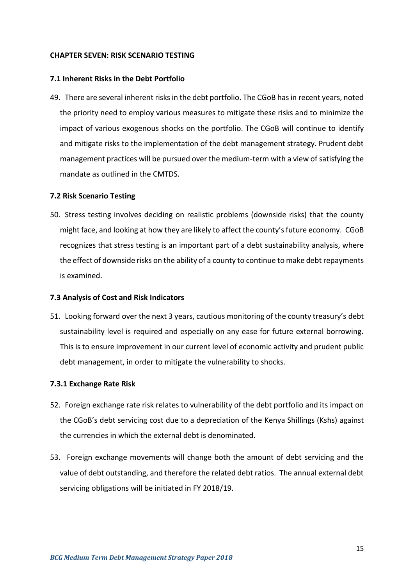#### <span id="page-25-0"></span>**CHAPTER SEVEN: RISK SCENARIO TESTING**

#### <span id="page-25-1"></span>**7.1 Inherent Risks in the Debt Portfolio**

49. There are several inherent risks in the debt portfolio. The CGoB has in recent years, noted the priority need to employ various measures to mitigate these risks and to minimize the impact of various exogenous shocks on the portfolio. The CGoB will continue to identify and mitigate risks to the implementation of the debt management strategy. Prudent debt management practices will be pursued over the medium-term with a view of satisfying the mandate as outlined in the CMTDS.

#### <span id="page-25-2"></span>**7.2 Risk Scenario Testing**

50. Stress testing involves deciding on realistic problems (downside risks) that the county might face, and looking at how they are likely to affect the county's future economy. CGoB recognizes that stress testing is an important part of a debt sustainability analysis, where the effect of downside risks on the ability of a county to continue to make debt repayments is examined.

#### <span id="page-25-3"></span>**7.3 Analysis of Cost and Risk Indicators**

51. Looking forward over the next 3 years, cautious monitoring of the county treasury's debt sustainability level is required and especially on any ease for future external borrowing. This is to ensure improvement in our current level of economic activity and prudent public debt management, in order to mitigate the vulnerability to shocks.

#### **7.3.1 Exchange Rate Risk**

- 52. Foreign exchange rate risk relates to vulnerability of the debt portfolio and its impact on the CGoB's debt servicing cost due to a depreciation of the Kenya Shillings (Kshs) against the currencies in which the external debt is denominated.
- 53. Foreign exchange movements will change both the amount of debt servicing and the value of debt outstanding, and therefore the related debt ratios. The annual external debt servicing obligations will be initiated in FY 2018/19.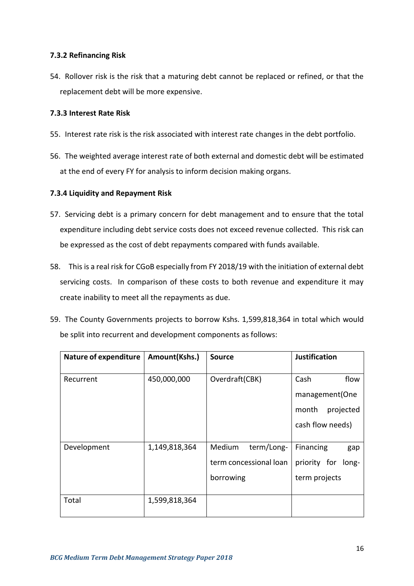# **7.3.2 Refinancing Risk**

54. Rollover risk is the risk that a maturing debt cannot be replaced or refined, or that the replacement debt will be more expensive.

# **7.3.3 Interest Rate Risk**

- 55. Interest rate risk is the risk associated with interest rate changes in the debt portfolio.
- 56. The weighted average interest rate of both external and domestic debt will be estimated at the end of every FY for analysis to inform decision making organs.

# **7.3.4 Liquidity and Repayment Risk**

- 57. Servicing debt is a primary concern for debt management and to ensure that the total expenditure including debt service costs does not exceed revenue collected. This risk can be expressed as the cost of debt repayments compared with funds available.
- 58. This is a real risk for CGoB especially from FY 2018/19 with the initiation of external debt servicing costs. In comparison of these costs to both revenue and expenditure it may create inability to meet all the repayments as due.
- 59. The County Governments projects to borrow Kshs. 1,599,818,364 in total which would be split into recurrent and development components as follows:

| <b>Nature of expenditure</b> | Amount(Kshs.) | <b>Source</b>                                               | <b>Justification</b>                                       |
|------------------------------|---------------|-------------------------------------------------------------|------------------------------------------------------------|
| Recurrent                    | 450,000,000   | Overdraft(CBK)                                              | Cash<br>flow<br>management (One<br>month<br>projected      |
|                              |               |                                                             | cash flow needs)                                           |
| Development                  | 1,149,818,364 | Medium<br>term/Long-<br>term concessional loan<br>borrowing | Financing<br>gap<br>priority for<br>long-<br>term projects |
| Total                        | 1,599,818,364 |                                                             |                                                            |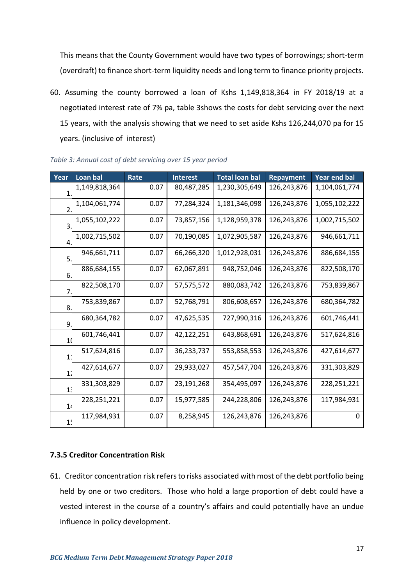This means that the County Government would have two types of borrowings; short-term (overdraft) to finance short-term liquidity needs and long term to finance priority projects.

60. Assuming the county borrowed a loan of Kshs 1,149,818,364 in FY 2018/19 at a negotiated interest rate of 7% pa, table 3shows the costs for debt servicing over the next 15 years, with the analysis showing that we need to set aside Kshs 126,244,070 pa for 15 years. (inclusive of interest)

| Year             | Loan bal      | Rate | <b>Interest</b> | <b>Total loan bal</b> | <b>Repayment</b> | <b>Year end bal</b> |
|------------------|---------------|------|-----------------|-----------------------|------------------|---------------------|
| $\mathbf{1}$     | 1,149,818,364 | 0.07 | 80,487,285      | 1,230,305,649         | 126,243,876      | 1,104,061,774       |
| $\overline{2}$ . | 1,104,061,774 | 0.07 | 77,284,324      | 1,181,346,098         | 126,243,876      | 1,055,102,222       |
| 3.               | 1,055,102,222 | 0.07 | 73,857,156      | 1,128,959,378         | 126,243,876      | 1,002,715,502       |
| 4.               | 1,002,715,502 | 0.07 | 70,190,085      | 1,072,905,587         | 126,243,876      | 946,661,711         |
| 5.               | 946,661,711   | 0.07 | 66,266,320      | 1,012,928,031         | 126,243,876      | 886,684,155         |
| 6.               | 886,684,155   | 0.07 | 62,067,891      | 948,752,046           | 126,243,876      | 822,508,170         |
| 7.               | 822,508,170   | 0.07 | 57,575,572      | 880,083,742           | 126,243,876      | 753,839,867         |
| 8.               | 753,839,867   | 0.07 | 52,768,791      | 806,608,657           | 126,243,876      | 680,364,782         |
| 9.               | 680,364,782   | 0.07 | 47,625,535      | 727,990,316           | 126,243,876      | 601,746,441         |
| 10               | 601,746,441   | 0.07 | 42,122,251      | 643,868,691           | 126,243,876      | 517,624,816         |
| $1^{\circ}$      | 517,624,816   | 0.07 | 36,233,737      | 553,858,553           | 126,243,876      | 427,614,677         |
| $\mathbf{1}$     | 427,614,677   | 0.07 | 29,933,027      | 457,547,704           | 126,243,876      | 331,303,829         |
| 13               | 331,303,829   | 0.07 | 23,191,268      | 354,495,097           | 126,243,876      | 228,251,221         |
| 1 <sub>1</sub>   | 228,251,221   | 0.07 | 15,977,585      | 244,228,806           | 126,243,876      | 117,984,931         |
|                  | 117,984,931   | 0.07 | 8,258,945       | 126,243,876           | 126,243,876      | 0                   |

*Table 3: Annual cost of debt servicing over 15 year period*

# **7.3.5 Creditor Concentration Risk**

61. Creditor concentration risk refers to risks associated with most of the debt portfolio being held by one or two creditors. Those who hold a large proportion of debt could have a vested interest in the course of a country's affairs and could potentially have an undue influence in policy development.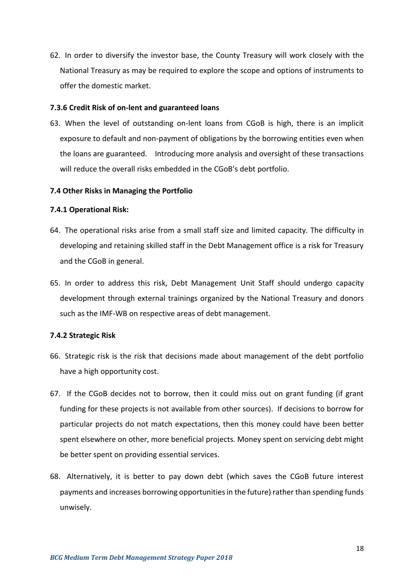62. In order to diversify the investor base, the County Treasury will work closely with the National Treasury as may be required to explore the scope and options of instruments to offer the domestic market.

# **7.3.6 Credit Risk of on-lent and guaranteed loans**

63. When the level of outstanding on-lent loans from CGoB is high, there is an implicit exposure to default and non-payment of obligations by the borrowing entities even when the loans are guaranteed. Introducing more analysis and oversight of these transactions will reduce the overall risks embedded in the CGoB's debt portfolio.

#### <span id="page-28-0"></span>**7.4 Other Risks in Managing the Portfolio**

#### **7.4.1 Operational Risk:**

- 64. The operational risks arise from a small staff size and limited capacity. The difficulty in developing and retaining skilled staff in the Debt Management office is a risk for Treasury and the CGoB in general.
- 65. In order to address this risk, Debt Management Unit Staff should undergo capacity development through external trainings organized by the National Treasury and donors such as the IMF-WB on respective areas of debt management.

#### **7.4.2 Strategic Risk**

- 66. Strategic risk is the risk that decisions made about management of the debt portfolio have a high opportunity cost.
- 67. If the CGoB decides not to borrow, then it could miss out on grant funding (if grant funding for these projects is not available from other sources). If decisions to borrow for particular projects do not match expectations, then this money could have been better spent elsewhere on other, more beneficial projects. Money spent on servicing debt might be better spent on providing essential services.
- 68. Alternatively, it is better to pay down debt (which saves the CGoB future interest payments and increases borrowing opportunities in the future) rather than spending funds unwisely.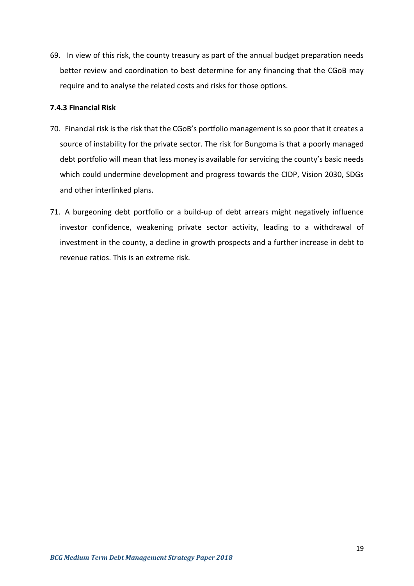69. In view of this risk, the county treasury as part of the annual budget preparation needs better review and coordination to best determine for any financing that the CGoB may require and to analyse the related costs and risks for those options.

# **7.4.3 Financial Risk**

- 70. Financial risk is the risk that the CGoB's portfolio management is so poor that it creates a source of instability for the private sector. The risk for Bungoma is that a poorly managed debt portfolio will mean that less money is available for servicing the county's basic needs which could undermine development and progress towards the CIDP, Vision 2030, SDGs and other interlinked plans.
- 71. A burgeoning debt portfolio or a build-up of debt arrears might negatively influence investor confidence, weakening private sector activity, leading to a withdrawal of investment in the county, a decline in growth prospects and a further increase in debt to revenue ratios. This is an extreme risk.